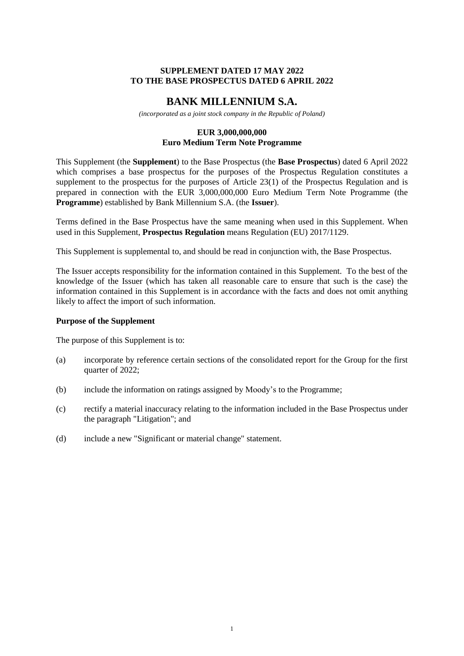### **SUPPLEMENT DATED 17 MAY 2022 TO THE BASE PROSPECTUS DATED 6 APRIL 2022**

# **BANK MILLENNIUM S.A.**

*(incorporated as a joint stock company in the Republic of Poland)*

#### **EUR 3,000,000,000 Euro Medium Term Note Programme**

This Supplement (the **Supplement**) to the Base Prospectus (the **Base Prospectus**) dated 6 April 2022 which comprises a base prospectus for the purposes of the Prospectus Regulation constitutes a supplement to the prospectus for the purposes of Article 23(1) of the Prospectus Regulation and is prepared in connection with the EUR 3,000,000,000 Euro Medium Term Note Programme (the **Programme**) established by Bank Millennium S.A. (the **Issuer**).

Terms defined in the Base Prospectus have the same meaning when used in this Supplement. When used in this Supplement, **Prospectus Regulation** means Regulation (EU) 2017/1129.

This Supplement is supplemental to, and should be read in conjunction with, the Base Prospectus.

The Issuer accepts responsibility for the information contained in this Supplement. To the best of the knowledge of the Issuer (which has taken all reasonable care to ensure that such is the case) the information contained in this Supplement is in accordance with the facts and does not omit anything likely to affect the import of such information.

#### **Purpose of the Supplement**

The purpose of this Supplement is to:

- (a) incorporate by reference certain sections of the consolidated report for the Group for the first quarter of 2022;
- (b) include the information on ratings assigned by Moody's to the Programme;
- (c) rectify a material inaccuracy relating to the information included in the Base Prospectus under the paragraph "Litigation"; and
- (d) include a new "Significant or material change" statement.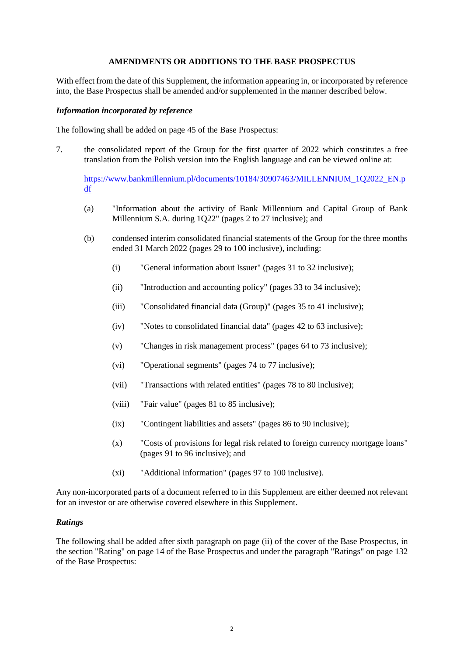### **AMENDMENTS OR ADDITIONS TO THE BASE PROSPECTUS**

With effect from the date of this Supplement, the information appearing in, or incorporated by reference into, the Base Prospectus shall be amended and/or supplemented in the manner described below.

### *Information incorporated by reference*

The following shall be added on page 45 of the Base Prospectus:

7. the consolidated report of the Group for the first quarter of 2022 which constitutes a free translation from the Polish version into the English language and can be viewed online at:

[https://www.bankmillennium.pl/documents/10184/30907463/MILLENNIUM\\_1Q2022\\_EN.p](https://www.bankmillennium.pl/documents/10184/30907463/MILLENNIUM_1Q2022_EN.pdf) [df](https://www.bankmillennium.pl/documents/10184/30907463/MILLENNIUM_1Q2022_EN.pdf)

- (a) "Information about the activity of Bank Millennium and Capital Group of Bank Millennium S.A. during 1Q22" (pages 2 to 27 inclusive); and
- (b) condensed interim consolidated financial statements of the Group for the three months ended 31 March 2022 (pages 29 to 100 inclusive), including:
	- (i) "General information about Issuer" (pages 31 to 32 inclusive);
	- (ii) "Introduction and accounting policy" (pages 33 to 34 inclusive);
	- (iii) "Consolidated financial data (Group)" (pages 35 to 41 inclusive);
	- (iv) "Notes to consolidated financial data" (pages 42 to 63 inclusive);
	- (v) "Changes in risk management process" (pages 64 to 73 inclusive);
	- (vi) "Operational segments" (pages 74 to 77 inclusive);
	- (vii) "Transactions with related entities" (pages 78 to 80 inclusive);
	- (viii) "Fair value" (pages 81 to 85 inclusive);
	- (ix) "Contingent liabilities and assets" (pages 86 to 90 inclusive);
	- (x) "Costs of provisions for legal risk related to foreign currency mortgage loans" (pages 91 to 96 inclusive); and
	- (xi) "Additional information" (pages 97 to 100 inclusive).

Any non-incorporated parts of a document referred to in this Supplement are either deemed not relevant for an investor or are otherwise covered elsewhere in this Supplement.

#### *Ratings*

The following shall be added after sixth paragraph on page (ii) of the cover of the Base Prospectus, in the section "Rating" on page 14 of the Base Prospectus and under the paragraph "Ratings" on page 132 of the Base Prospectus: